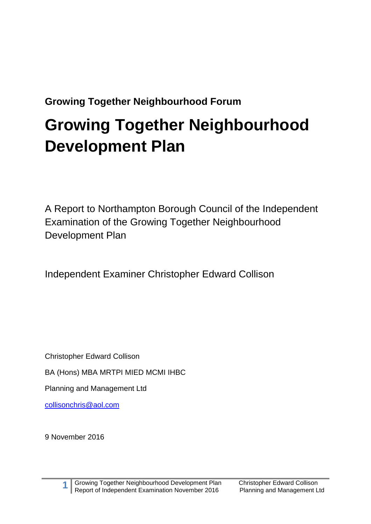**Growing Together Neighbourhood Forum**

# **Growing Together Neighbourhood Development Plan**

A Report to Northampton Borough Council of the Independent Examination of the Growing Together Neighbourhood Development Plan

Independent Examiner Christopher Edward Collison

Christopher Edward Collison

BA (Hons) MBA MRTPI MIED MCMI IHBC

Planning and Management Ltd

[collisonchris@aol.com](mailto:collisonchris@aol.com)

9 November 2016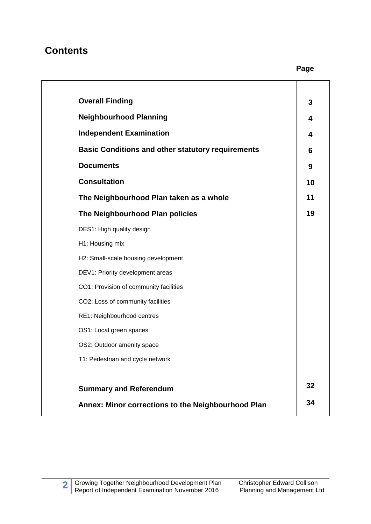## **Contents**

**Page 2014** 

| <b>Overall Finding</b>                                   | 3  |
|----------------------------------------------------------|----|
| <b>Neighbourhood Planning</b>                            | 4  |
| <b>Independent Examination</b>                           | 4  |
| <b>Basic Conditions and other statutory requirements</b> | 6  |
| <b>Documents</b>                                         | 9  |
| <b>Consultation</b>                                      | 10 |
| The Neighbourhood Plan taken as a whole                  | 11 |
| The Neighbourhood Plan policies                          | 19 |
| DES1: High quality design                                |    |
| H1: Housing mix                                          |    |
| H2: Small-scale housing development                      |    |
| DEV1: Priority development areas                         |    |
| CO1: Provision of community facilities                   |    |
| CO2: Loss of community facilities                        |    |
| RE1: Neighbourhood centres                               |    |
| OS1: Local green spaces                                  |    |
| OS2: Outdoor amenity space                               |    |
| T1: Pedestrian and cycle network                         |    |
|                                                          |    |
| <b>Summary and Referendum</b>                            | 32 |
| Annex: Minor corrections to the Neighbourhood Plan       | 34 |
|                                                          |    |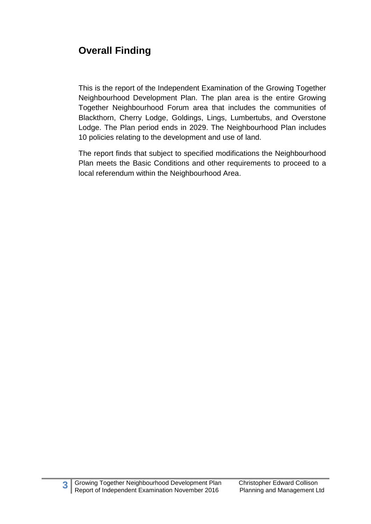# **Overall Finding**

This is the report of the Independent Examination of the Growing Together Neighbourhood Development Plan. The plan area is the entire Growing Together Neighbourhood Forum area that includes the communities of Blackthorn, Cherry Lodge, Goldings, Lings, Lumbertubs, and Overstone Lodge. The Plan period ends in 2029. The Neighbourhood Plan includes 10 policies relating to the development and use of land.

The report finds that subject to specified modifications the Neighbourhood Plan meets the Basic Conditions and other requirements to proceed to a local referendum within the Neighbourhood Area.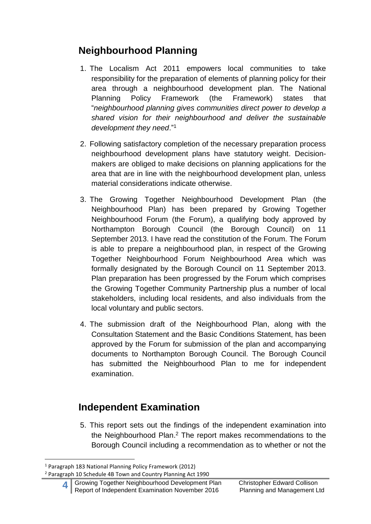# **Neighbourhood Planning**

- 1. The Localism Act 2011 empowers local communities to take responsibility for the preparation of elements of planning policy for their area through a neighbourhood development plan. The National Planning Policy Framework (the Framework) states that "*neighbourhood planning gives communities direct power to develop a shared vision for their neighbourhood and deliver the sustainable development they need*."<sup>1</sup>
- 2. Following satisfactory completion of the necessary preparation process neighbourhood development plans have statutory weight. Decisionmakers are obliged to make decisions on planning applications for the area that are in line with the neighbourhood development plan, unless material considerations indicate otherwise.
- 3. The Growing Together Neighbourhood Development Plan (the Neighbourhood Plan) has been prepared by Growing Together Neighbourhood Forum (the Forum), a qualifying body approved by Northampton Borough Council (the Borough Council) on 11 September 2013. I have read the constitution of the Forum. The Forum is able to prepare a neighbourhood plan, in respect of the Growing Together Neighbourhood Forum Neighbourhood Area which was formally designated by the Borough Council on 11 September 2013. Plan preparation has been progressed by the Forum which comprises the Growing Together Community Partnership plus a number of local stakeholders, including local residents, and also individuals from the local voluntary and public sectors.
- 4. The submission draft of the Neighbourhood Plan, along with the Consultation Statement and the Basic Conditions Statement, has been approved by the Forum for submission of the plan and accompanying documents to Northampton Borough Council. The Borough Council has submitted the Neighbourhood Plan to me for independent examination.

# **Independent Examination**

5. This report sets out the findings of the independent examination into the Neighbourhood Plan. <sup>2</sup> The report makes recommendations to the Borough Council including a recommendation as to whether or not the

<sup>1</sup> Paragraph 183 National Planning Policy Framework (2012)

<sup>2</sup> Paragraph 10 Schedule 4B Town and Country Planning Act 1990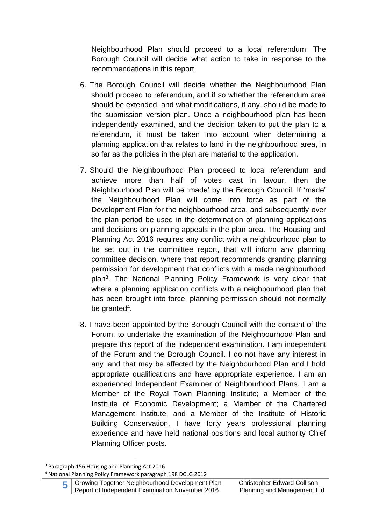Neighbourhood Plan should proceed to a local referendum. The Borough Council will decide what action to take in response to the recommendations in this report.

- 6. The Borough Council will decide whether the Neighbourhood Plan should proceed to referendum, and if so whether the referendum area should be extended, and what modifications, if any, should be made to the submission version plan. Once a neighbourhood plan has been independently examined, and the decision taken to put the plan to a referendum, it must be taken into account when determining a planning application that relates to land in the neighbourhood area, in so far as the policies in the plan are material to the application.
- 7. Should the Neighbourhood Plan proceed to local referendum and achieve more than half of votes cast in favour, then the Neighbourhood Plan will be 'made' by the Borough Council. If 'made' the Neighbourhood Plan will come into force as part of the Development Plan for the neighbourhood area, and subsequently over the plan period be used in the determination of planning applications and decisions on planning appeals in the plan area. The Housing and Planning Act 2016 requires any conflict with a neighbourhood plan to be set out in the committee report, that will inform any planning committee decision, where that report recommends granting planning permission for development that conflicts with a made neighbourhood plan<sup>3</sup>. The National Planning Policy Framework is very clear that where a planning application conflicts with a neighbourhood plan that has been brought into force, planning permission should not normally be granted<sup>4</sup>.
- 8. I have been appointed by the Borough Council with the consent of the Forum, to undertake the examination of the Neighbourhood Plan and prepare this report of the independent examination. I am independent of the Forum and the Borough Council. I do not have any interest in any land that may be affected by the Neighbourhood Plan and I hold appropriate qualifications and have appropriate experience. I am an experienced Independent Examiner of Neighbourhood Plans. I am a Member of the Royal Town Planning Institute; a Member of the Institute of Economic Development; a Member of the Chartered Management Institute; and a Member of the Institute of Historic Building Conservation. I have forty years professional planning experience and have held national positions and local authority Chief Planning Officer posts.

<sup>3</sup> Paragraph 156 Housing and Planning Act 2016

<sup>4</sup> National Planning Policy Framework paragraph 198 DCLG 2012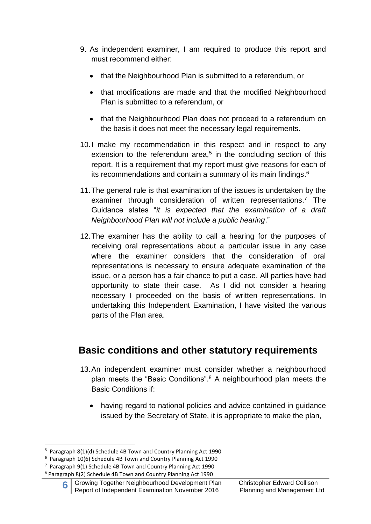- 9. As independent examiner, I am required to produce this report and must recommend either:
	- that the Neighbourhood Plan is submitted to a referendum, or
	- that modifications are made and that the modified Neighbourhood Plan is submitted to a referendum, or
	- that the Neighbourhood Plan does not proceed to a referendum on the basis it does not meet the necessary legal requirements.
- 10.I make my recommendation in this respect and in respect to any extension to the referendum area, $5$  in the concluding section of this report. It is a requirement that my report must give reasons for each of its recommendations and contain a summary of its main findings.<sup>6</sup>
- 11.The general rule is that examination of the issues is undertaken by the examiner through consideration of written representations. <sup>7</sup> The Guidance states "*it is expected that the examination of a draft Neighbourhood Plan will not include a public hearing*."
- 12.The examiner has the ability to call a hearing for the purposes of receiving oral representations about a particular issue in any case where the examiner considers that the consideration of oral representations is necessary to ensure adequate examination of the issue, or a person has a fair chance to put a case. All parties have had opportunity to state their case. As I did not consider a hearing necessary I proceeded on the basis of written representations. In undertaking this Independent Examination, I have visited the various parts of the Plan area.

# **Basic conditions and other statutory requirements**

- 13.An independent examiner must consider whether a neighbourhood plan meets the "Basic Conditions". <sup>8</sup> A neighbourhood plan meets the Basic Conditions if:
	- having regard to national policies and advice contained in guidance issued by the Secretary of State, it is appropriate to make the plan,

<sup>&</sup>lt;sup>5</sup> Paragraph 8(1)(d) Schedule 4B Town and Country Planning Act 1990

<sup>6</sup> Paragraph 10(6) Schedule 4B Town and Country Planning Act 1990

<sup>7</sup> Paragraph 9(1) Schedule 4B Town and Country Planning Act 1990

<sup>8</sup> Paragraph 8(2) Schedule 4B Town and Country Planning Act 1990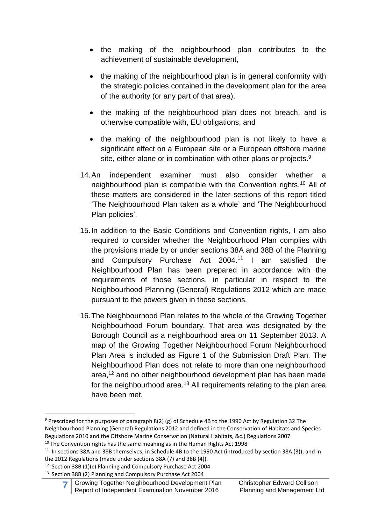- the making of the neighbourhood plan contributes to the achievement of sustainable development,
- the making of the neighbourhood plan is in general conformity with the strategic policies contained in the development plan for the area of the authority (or any part of that area),
- the making of the neighbourhood plan does not breach, and is otherwise compatible with, EU obligations, and
- the making of the neighbourhood plan is not likely to have a significant effect on a European site or a European offshore marine site, either alone or in combination with other plans or projects.<sup>9</sup>
- 14.An independent examiner must also consider whether a neighbourhood plan is compatible with the Convention rights.<sup>10</sup> All of these matters are considered in the later sections of this report titled 'The Neighbourhood Plan taken as a whole' and 'The Neighbourhood Plan policies'.
- 15.In addition to the Basic Conditions and Convention rights, I am also required to consider whether the Neighbourhood Plan complies with the provisions made by or under sections 38A and 38B of the Planning and Compulsory Purchase Act 2004. <sup>11</sup> I am satisfied the Neighbourhood Plan has been prepared in accordance with the requirements of those sections, in particular in respect to the Neighbourhood Planning (General) Regulations 2012 which are made pursuant to the powers given in those sections.
- 16.The Neighbourhood Plan relates to the whole of the Growing Together Neighbourhood Forum boundary. That area was designated by the Borough Council as a neighbourhood area on 11 September 2013. A map of the Growing Together Neighbourhood Forum Neighbourhood Plan Area is included as Figure 1 of the Submission Draft Plan. The Neighbourhood Plan does not relate to more than one neighbourhood area,<sup>12</sup> and no other neighbourhood development plan has been made for the neighbourhood area.<sup>13</sup> All requirements relating to the plan area have been met.

```
10 The Convention rights has the same meaning as in the Human Rights Act 1998
```
<sup>&</sup>lt;sup>9</sup> Prescribed for the purposes of paragraph 8(2) (g) of Schedule 4B to the 1990 Act by Regulation 32 The Neighbourhood Planning (General) Regulations 2012 and defined in the Conservation of Habitats and Species Regulations 2010 and the Offshore Marine Conservation (Natural Habitats, &c.) Regulations 2007

 $11$  In sections 38A and 38B themselves; in Schedule 4B to the 1990 Act (introduced by section 38A (3)); and in the 2012 Regulations (made under sections 38A (7) and 38B (4)).

<sup>&</sup>lt;sup>12</sup> Section 38B (1)(c) Planning and Compulsory Purchase Act 2004

<sup>&</sup>lt;sup>13</sup> Section 38B (2) Planning and Compulsory Purchase Act 2004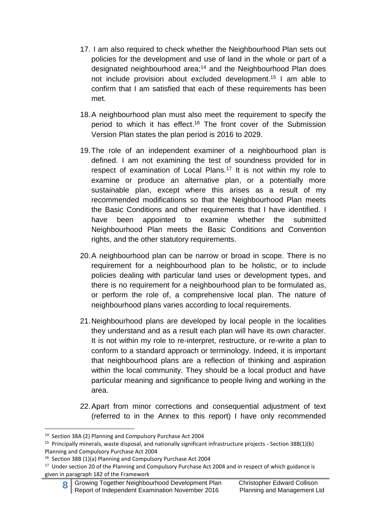- 17. I am also required to check whether the Neighbourhood Plan sets out policies for the development and use of land in the whole or part of a designated neighbourhood area;<sup>14</sup> and the Neighbourhood Plan does not include provision about excluded development.<sup>15</sup> I am able to confirm that I am satisfied that each of these requirements has been met.
- 18.A neighbourhood plan must also meet the requirement to specify the period to which it has effect. <sup>16</sup> The front cover of the Submission Version Plan states the plan period is 2016 to 2029.
- 19.The role of an independent examiner of a neighbourhood plan is defined. I am not examining the test of soundness provided for in respect of examination of Local Plans.<sup>17</sup> It is not within my role to examine or produce an alternative plan, or a potentially more sustainable plan, except where this arises as a result of my recommended modifications so that the Neighbourhood Plan meets the Basic Conditions and other requirements that I have identified. I have been appointed to examine whether the submitted Neighbourhood Plan meets the Basic Conditions and Convention rights, and the other statutory requirements.
- 20.A neighbourhood plan can be narrow or broad in scope. There is no requirement for a neighbourhood plan to be holistic, or to include policies dealing with particular land uses or development types, and there is no requirement for a neighbourhood plan to be formulated as, or perform the role of, a comprehensive local plan. The nature of neighbourhood plans varies according to local requirements.
- 21.Neighbourhood plans are developed by local people in the localities they understand and as a result each plan will have its own character. It is not within my role to re-interpret, restructure, or re-write a plan to conform to a standard approach or terminology. Indeed, it is important that neighbourhood plans are a reflection of thinking and aspiration within the local community. They should be a local product and have particular meaning and significance to people living and working in the area.
- 22. Apart from minor corrections and consequential adjustment of text (referred to in the Annex to this report) I have only recommended

<sup>1</sup> <sup>14</sup> Section 38A (2) Planning and Compulsory Purchase Act 2004

<sup>&</sup>lt;sup>15</sup> Principally minerals, waste disposal, and nationally significant infrastructure projects - Section 38B(1)(b) Planning and Compulsory Purchase Act 2004

<sup>&</sup>lt;sup>16</sup> Section 38B (1)(a) Planning and Compulsory Purchase Act 2004

<sup>&</sup>lt;sup>17</sup> Under section 20 of the Planning and Compulsory Purchase Act 2004 and in respect of which guidance is given in paragraph 182 of the Framework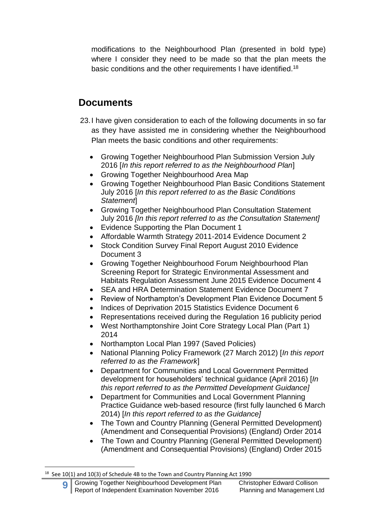modifications to the Neighbourhood Plan (presented in bold type) where I consider they need to be made so that the plan meets the basic conditions and the other requirements I have identified.<sup>18</sup>

# **Documents**

- 23.I have given consideration to each of the following documents in so far as they have assisted me in considering whether the Neighbourhood Plan meets the basic conditions and other requirements:
	- Growing Together Neighbourhood Plan Submission Version July 2016 [*In this report referred to as the Neighbourhood Plan*]
	- Growing Together Neighbourhood Area Map
	- Growing Together Neighbourhood Plan Basic Conditions Statement July 2016 [*In this report referred to as the Basic Conditions Statement*]
	- Growing Together Neighbourhood Plan Consultation Statement July 2016 *[In this report referred to as the Consultation Statement]*
	- Evidence Supporting the Plan Document 1
	- Affordable Warmth Strategy 2011-2014 Evidence Document 2
	- Stock Condition Survey Final Report August 2010 Evidence Document 3
	- Growing Together Neighbourhood Forum Neighbourhood Plan Screening Report for Strategic Environmental Assessment and Habitats Regulation Assessment June 2015 Evidence Document 4
	- SEA and HRA Determination Statement Evidence Document 7
	- Review of Northampton's Development Plan Evidence Document 5
	- Indices of Deprivation 2015 Statistics Evidence Document 6
	- Representations received during the Regulation 16 publicity period
	- West Northamptonshire Joint Core Strategy Local Plan (Part 1) 2014
	- Northampton Local Plan 1997 (Saved Policies)
	- National Planning Policy Framework (27 March 2012) [*In this report referred to as the Framework*]
	- Department for Communities and Local Government Permitted development for householders' technical guidance (April 2016) [*In this report referred to as the Permitted Development Guidance]*
	- Department for Communities and Local Government Planning Practice Guidance web-based resource (first fully launched 6 March 2014) [*In this report referred to as the Guidance]*
	- The Town and Country Planning (General Permitted Development) (Amendment and Consequential Provisions) (England) Order 2014
	- The Town and Country Planning (General Permitted Development) (Amendment and Consequential Provisions) (England) Order 2015

 $18$  See 10(1) and 10(3) of Schedule 4B to the Town and Country Planning Act 1990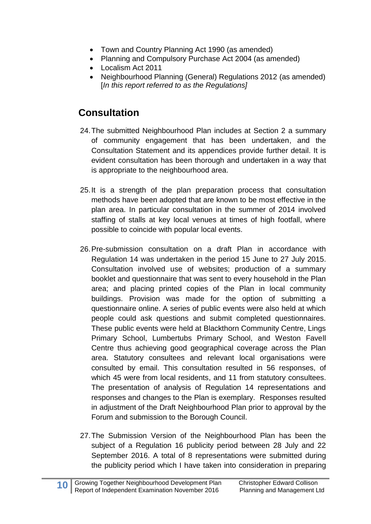- Town and Country Planning Act 1990 (as amended)
- Planning and Compulsory Purchase Act 2004 (as amended)
- Localism Act 2011
- Neighbourhood Planning (General) Regulations 2012 (as amended) [*In this report referred to as the Regulations]*

# **Consultation**

- 24.The submitted Neighbourhood Plan includes at Section 2 a summary of community engagement that has been undertaken, and the Consultation Statement and its appendices provide further detail. It is evident consultation has been thorough and undertaken in a way that is appropriate to the neighbourhood area.
- 25.It is a strength of the plan preparation process that consultation methods have been adopted that are known to be most effective in the plan area. In particular consultation in the summer of 2014 involved staffing of stalls at key local venues at times of high footfall, where possible to coincide with popular local events.
- 26.Pre-submission consultation on a draft Plan in accordance with Regulation 14 was undertaken in the period 15 June to 27 July 2015. Consultation involved use of websites; production of a summary booklet and questionnaire that was sent to every household in the Plan area; and placing printed copies of the Plan in local community buildings. Provision was made for the option of submitting a questionnaire online. A series of public events were also held at which people could ask questions and submit completed questionnaires. These public events were held at Blackthorn Community Centre, Lings Primary School, Lumbertubs Primary School, and Weston Favell Centre thus achieving good geographical coverage across the Plan area. Statutory consultees and relevant local organisations were consulted by email. This consultation resulted in 56 responses, of which 45 were from local residents, and 11 from statutory consultees. The presentation of analysis of Regulation 14 representations and responses and changes to the Plan is exemplary. Responses resulted in adjustment of the Draft Neighbourhood Plan prior to approval by the Forum and submission to the Borough Council.
- 27.The Submission Version of the Neighbourhood Plan has been the subject of a Regulation 16 publicity period between 28 July and 22 September 2016. A total of 8 representations were submitted during the publicity period which I have taken into consideration in preparing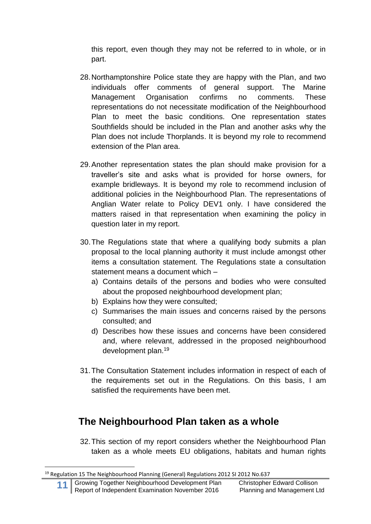this report, even though they may not be referred to in whole, or in part.

- 28.Northamptonshire Police state they are happy with the Plan, and two individuals offer comments of general support. The Marine Management Organisation confirms no comments. These representations do not necessitate modification of the Neighbourhood Plan to meet the basic conditions. One representation states Southfields should be included in the Plan and another asks why the Plan does not include Thorplands. It is beyond my role to recommend extension of the Plan area.
- 29.Another representation states the plan should make provision for a traveller's site and asks what is provided for horse owners, for example bridleways. It is beyond my role to recommend inclusion of additional policies in the Neighbourhood Plan. The representations of Anglian Water relate to Policy DEV1 only. I have considered the matters raised in that representation when examining the policy in question later in my report.
- 30.The Regulations state that where a qualifying body submits a plan proposal to the local planning authority it must include amongst other items a consultation statement. The Regulations state a consultation statement means a document which –
	- a) Contains details of the persons and bodies who were consulted about the proposed neighbourhood development plan;
	- b) Explains how they were consulted;
	- c) Summarises the main issues and concerns raised by the persons consulted; and
	- d) Describes how these issues and concerns have been considered and, where relevant, addressed in the proposed neighbourhood development plan.<sup>19</sup>
- 31.The Consultation Statement includes information in respect of each of the requirements set out in the Regulations. On this basis, I am satisfied the requirements have been met.

# **The Neighbourhood Plan taken as a whole**

32.This section of my report considers whether the Neighbourhood Plan taken as a whole meets EU obligations, habitats and human rights

<sup>&</sup>lt;sup>19</sup> Regulation 15 The Neighbourhood Planning (General) Regulations 2012 SI 2012 No.637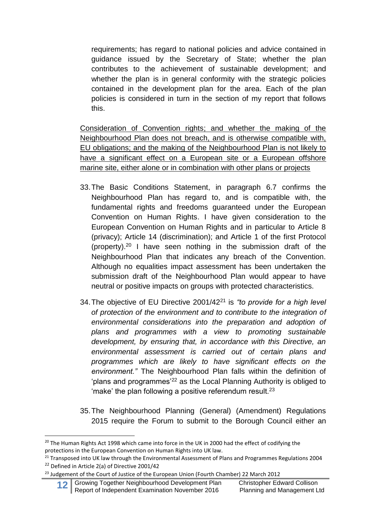requirements; has regard to national policies and advice contained in guidance issued by the Secretary of State; whether the plan contributes to the achievement of sustainable development; and whether the plan is in general conformity with the strategic policies contained in the development plan for the area. Each of the plan policies is considered in turn in the section of my report that follows this.

Consideration of Convention rights; and whether the making of the Neighbourhood Plan does not breach, and is otherwise compatible with, EU obligations; and the making of the Neighbourhood Plan is not likely to have a significant effect on a European site or a European offshore marine site, either alone or in combination with other plans or projects

- 33.The Basic Conditions Statement, in paragraph 6.7 confirms the Neighbourhood Plan has regard to, and is compatible with, the fundamental rights and freedoms guaranteed under the European Convention on Human Rights. I have given consideration to the European Convention on Human Rights and in particular to Article 8 (privacy); Article 14 (discrimination); and Article 1 of the first Protocol (property).<sup>20</sup> I have seen nothing in the submission draft of the Neighbourhood Plan that indicates any breach of the Convention. Although no equalities impact assessment has been undertaken the submission draft of the Neighbourhood Plan would appear to have neutral or positive impacts on groups with protected characteristics.
- 34.The objective of EU Directive 2001/42<sup>21</sup> is *"to provide for a high level of protection of the environment and to contribute to the integration of environmental considerations into the preparation and adoption of plans and programmes with a view to promoting sustainable development, by ensuring that, in accordance with this Directive, an environmental assessment is carried out of certain plans and programmes which are likely to have significant effects on the environment."* The Neighbourhood Plan falls within the definition of 'plans and programmes'<sup>22</sup> as the Local Planning Authority is obliged to 'make' the plan following a positive referendum result.<sup>23</sup>
- 35.The Neighbourhood Planning (General) (Amendment) Regulations 2015 require the Forum to submit to the Borough Council either an

<sup>&</sup>lt;sup>20</sup> The Human Rights Act 1998 which came into force in the UK in 2000 had the effect of codifying the protections in the European Convention on Human Rights into UK law.

<sup>&</sup>lt;sup>21</sup> Transposed into UK law through the Environmental Assessment of Plans and Programmes Regulations 2004 <sup>22</sup> Defined in Article 2(a) of Directive 2001/42

<sup>&</sup>lt;sup>23</sup> Judgement of the Court of Justice of the European Union (Fourth Chamber) 22 March 2012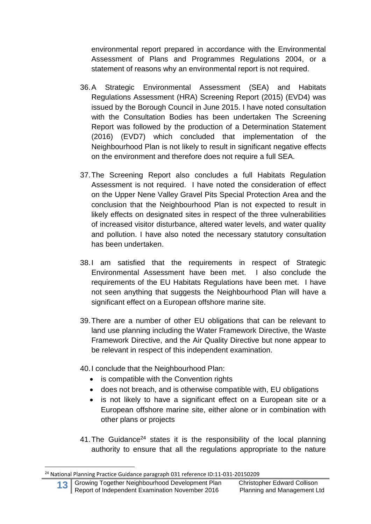environmental report prepared in accordance with the Environmental Assessment of Plans and Programmes Regulations 2004, or a statement of reasons why an environmental report is not required.

- 36.A Strategic Environmental Assessment (SEA) and Habitats Regulations Assessment (HRA) Screening Report (2015) (EVD4) was issued by the Borough Council in June 2015. I have noted consultation with the Consultation Bodies has been undertaken The Screening Report was followed by the production of a Determination Statement (2016) (EVD7) which concluded that implementation of the Neighbourhood Plan is not likely to result in significant negative effects on the environment and therefore does not require a full SEA.
- 37.The Screening Report also concludes a full Habitats Regulation Assessment is not required. I have noted the consideration of effect on the Upper Nene Valley Gravel Pits Special Protection Area and the conclusion that the Neighbourhood Plan is not expected to result in likely effects on designated sites in respect of the three vulnerabilities of increased visitor disturbance, altered water levels, and water quality and pollution. I have also noted the necessary statutory consultation has been undertaken.
- 38.I am satisfied that the requirements in respect of Strategic Environmental Assessment have been met. I also conclude the requirements of the EU Habitats Regulations have been met. I have not seen anything that suggests the Neighbourhood Plan will have a significant effect on a European offshore marine site.
- 39.There are a number of other EU obligations that can be relevant to land use planning including the Water Framework Directive, the Waste Framework Directive, and the Air Quality Directive but none appear to be relevant in respect of this independent examination.
- 40.I conclude that the Neighbourhood Plan:
	- is compatible with the Convention rights
	- does not breach, and is otherwise compatible with, EU obligations
	- is not likely to have a significant effect on a European site or a European offshore marine site, either alone or in combination with other plans or projects
- 41. The Guidance<sup>24</sup> states it is the responsibility of the local planning authority to ensure that all the regulations appropriate to the nature

<sup>&</sup>lt;sup>24</sup> National Planning Practice Guidance paragraph 031 reference ID:11-031-20150209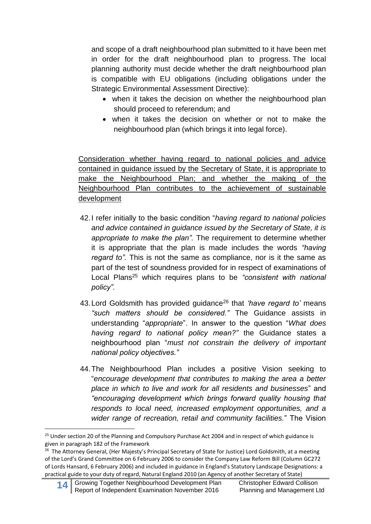and scope of a draft neighbourhood plan submitted to it have been met in order for the draft neighbourhood plan to progress. The local planning authority must decide whether the draft neighbourhood plan is compatible with EU obligations (including obligations under the Strategic Environmental Assessment Directive):

- when it takes the decision on whether the neighbourhood plan should proceed to referendum; and
- when it takes the decision on whether or not to make the neighbourhood plan (which brings it into legal force).

Consideration whether having regard to national policies and advice contained in guidance issued by the Secretary of State, it is appropriate to make the Neighbourhood Plan; and whether the making of the Neighbourhood Plan contributes to the achievement of sustainable development

- 42.I refer initially to the basic condition "*having regard to national policies and advice contained in guidance issued by the Secretary of State, it is appropriate to make the plan".* The requirement to determine whether it is appropriate that the plan is made includes the words *"having regard to".* This is not the same as compliance, nor is it the same as part of the test of soundness provided for in respect of examinations of Local Plans<sup>25</sup> which requires plans to be *"consistent with national policy".*
- 43.Lord Goldsmith has provided guidance<sup>26</sup> that *'have regard to'* means *"such matters should be considered."* The Guidance assists in understanding "*appropriate*". In answer to the question "*What does having regard to national policy mean?"* the Guidance states a neighbourhood plan "*must not constrain the delivery of important national policy objectives."*
- 44.The Neighbourhood Plan includes a positive Vision seeking to "*encourage development that contributes to making the area a better place in which to live and work for all residents and businesses*" and *"encouraging development which brings forward quality housing that responds to local need, increased employment opportunities, and a wider range of recreation, retail and community facilities.*" The Vision

<sup>&</sup>lt;sup>25</sup> Under section 20 of the Planning and Compulsory Purchase Act 2004 and in respect of which guidance is given in paragraph 182 of the Framework

<sup>&</sup>lt;sup>26</sup> The Attorney General, (Her Majesty's Principal Secretary of State for Justice) Lord Goldsmith, at a meeting of the Lord's Grand Committee on 6 February 2006 to consider the Company Law Reform Bill (Column GC272 of Lords Hansard, 6 February 2006) and included in guidance in England's Statutory Landscape Designations: a practical guide to your duty of regard, Natural England 2010 (an Agency of another Secretary of State)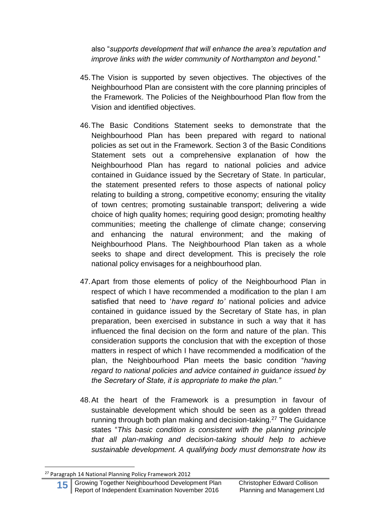also "*supports development that will enhance the area's reputation and improve links with the wider community of Northampton and beyond.*"

- 45.The Vision is supported by seven objectives. The objectives of the Neighbourhood Plan are consistent with the core planning principles of the Framework. The Policies of the Neighbourhood Plan flow from the Vision and identified objectives.
- 46.The Basic Conditions Statement seeks to demonstrate that the Neighbourhood Plan has been prepared with regard to national policies as set out in the Framework. Section 3 of the Basic Conditions Statement sets out a comprehensive explanation of how the Neighbourhood Plan has regard to national policies and advice contained in Guidance issued by the Secretary of State. In particular, the statement presented refers to those aspects of national policy relating to building a strong, competitive economy; ensuring the vitality of town centres; promoting sustainable transport; delivering a wide choice of high quality homes; requiring good design; promoting healthy communities; meeting the challenge of climate change; conserving and enhancing the natural environment; and the making of Neighbourhood Plans. The Neighbourhood Plan taken as a whole seeks to shape and direct development. This is precisely the role national policy envisages for a neighbourhood plan.
- 47.Apart from those elements of policy of the Neighbourhood Plan in respect of which I have recommended a modification to the plan I am satisfied that need to '*have regard to'* national policies and advice contained in guidance issued by the Secretary of State has, in plan preparation, been exercised in substance in such a way that it has influenced the final decision on the form and nature of the plan. This consideration supports the conclusion that with the exception of those matters in respect of which I have recommended a modification of the plan, the Neighbourhood Plan meets the basic condition "*having regard to national policies and advice contained in guidance issued by the Secretary of State, it is appropriate to make the plan."*
- 48.At the heart of the Framework is a presumption in favour of sustainable development which should be seen as a golden thread running through both plan making and decision-taking. <sup>27</sup> The Guidance states "*This basic condition is consistent with the planning principle that all plan-making and decision-taking should help to achieve sustainable development. A qualifying body must demonstrate how its*

<sup>27</sup> Paragraph 14 National Planning Policy Framework 2012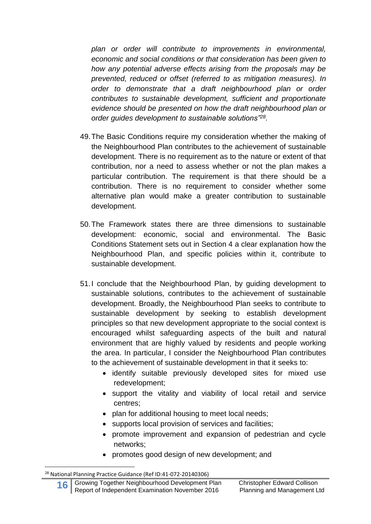*plan or order will contribute to improvements in environmental, economic and social conditions or that consideration has been given to how any potential adverse effects arising from the proposals may be prevented, reduced or offset (referred to as mitigation measures). In order to demonstrate that a draft neighbourhood plan or order contributes to sustainable development, sufficient and proportionate evidence should be presented on how the draft neighbourhood plan or order guides development to sustainable solutions"<sup>28</sup> .*

- 49.The Basic Conditions require my consideration whether the making of the Neighbourhood Plan contributes to the achievement of sustainable development. There is no requirement as to the nature or extent of that contribution, nor a need to assess whether or not the plan makes a particular contribution. The requirement is that there should be a contribution. There is no requirement to consider whether some alternative plan would make a greater contribution to sustainable development.
- 50.The Framework states there are three dimensions to sustainable development: economic, social and environmental. The Basic Conditions Statement sets out in Section 4 a clear explanation how the Neighbourhood Plan, and specific policies within it, contribute to sustainable development.
- 51.I conclude that the Neighbourhood Plan, by guiding development to sustainable solutions, contributes to the achievement of sustainable development. Broadly, the Neighbourhood Plan seeks to contribute to sustainable development by seeking to establish development principles so that new development appropriate to the social context is encouraged whilst safeguarding aspects of the built and natural environment that are highly valued by residents and people working the area. In particular, I consider the Neighbourhood Plan contributes to the achievement of sustainable development in that it seeks to:
	- identify suitable previously developed sites for mixed use redevelopment;
	- support the vitality and viability of local retail and service centres;
	- plan for additional housing to meet local needs;
	- supports local provision of services and facilities;
	- promote improvement and expansion of pedestrian and cycle networks;
	- promotes good design of new development; and

<sup>28</sup> National Planning Practice Guidance (Ref ID:41-072-20140306)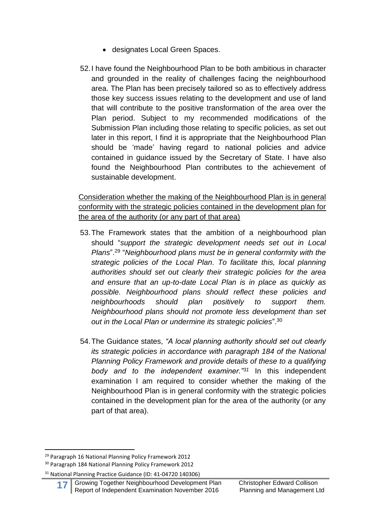- designates Local Green Spaces.
- 52.I have found the Neighbourhood Plan to be both ambitious in character and grounded in the reality of challenges facing the neighbourhood area. The Plan has been precisely tailored so as to effectively address those key success issues relating to the development and use of land that will contribute to the positive transformation of the area over the Plan period. Subject to my recommended modifications of the Submission Plan including those relating to specific policies, as set out later in this report, I find it is appropriate that the Neighbourhood Plan should be 'made' having regard to national policies and advice contained in guidance issued by the Secretary of State. I have also found the Neighbourhood Plan contributes to the achievement of sustainable development.

Consideration whether the making of the Neighbourhood Plan is in general conformity with the strategic policies contained in the development plan for the area of the authority (or any part of that area)

- 53.The Framework states that the ambition of a neighbourhood plan should "*support the strategic development needs set out in Local Plans*". 29 "*Neighbourhood plans must be in general conformity with the strategic policies of the Local Plan. To facilitate this, local planning authorities should set out clearly their strategic policies for the area and ensure that an up-to-date Local Plan is in place as quickly as possible. Neighbourhood plans should reflect these policies and neighbourhoods should plan positively to support them. Neighbourhood plans should not promote less development than set out in the Local Plan or undermine its strategic policies*". 30
- 54.The Guidance states, *"A local planning authority should set out clearly its strategic policies in accordance with paragraph 184 of the National Planning Policy Framework and provide details of these to a qualifying body and to the independent examiner."<sup>31</sup>* In this independent examination I am required to consider whether the making of the Neighbourhood Plan is in general conformity with the strategic policies contained in the development plan for the area of the authority (or any part of that area).

<sup>29</sup> Paragraph 16 National Planning Policy Framework 2012

<sup>30</sup> Paragraph 184 National Planning Policy Framework 2012

<sup>31</sup> National Planning Practice Guidance (ID: 41-04720 140306)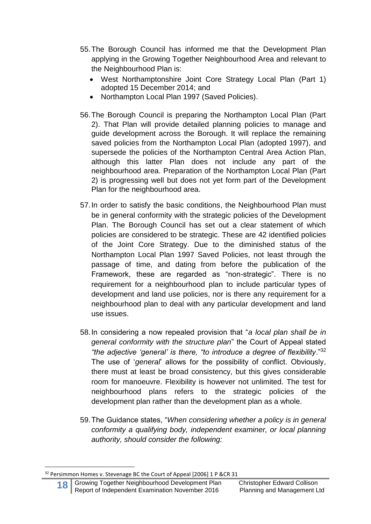- 55.The Borough Council has informed me that the Development Plan applying in the Growing Together Neighbourhood Area and relevant to the Neighbourhood Plan is:
	- West Northamptonshire Joint Core Strategy Local Plan (Part 1) adopted 15 December 2014; and
	- Northampton Local Plan 1997 (Saved Policies).
- 56.The Borough Council is preparing the Northampton Local Plan (Part 2). That Plan will provide detailed planning policies to manage and guide development across the Borough. It will replace the remaining saved policies from the Northampton Local Plan (adopted 1997), and supersede the policies of the Northampton Central Area Action Plan, although this latter Plan does not include any part of the neighbourhood area. Preparation of the Northampton Local Plan (Part 2) is progressing well but does not yet form part of the Development Plan for the neighbourhood area.
- 57.In order to satisfy the basic conditions, the Neighbourhood Plan must be in general conformity with the strategic policies of the Development Plan. The Borough Council has set out a clear statement of which policies are considered to be strategic. These are 42 identified policies of the Joint Core Strategy. Due to the diminished status of the Northampton Local Plan 1997 Saved Policies, not least through the passage of time, and dating from before the publication of the Framework, these are regarded as "non-strategic". There is no requirement for a neighbourhood plan to include particular types of development and land use policies, nor is there any requirement for a neighbourhood plan to deal with any particular development and land use issues.
- 58.In considering a now repealed provision that "*a local plan shall be in general conformity with the structure plan*" the Court of Appeal stated *"the adjective 'general' is there, "to introduce a degree of flexibility*."<sup>32</sup> The use of '*general*' allows for the possibility of conflict. Obviously, there must at least be broad consistency, but this gives considerable room for manoeuvre. Flexibility is however not unlimited. The test for neighbourhood plans refers to the strategic policies of the development plan rather than the development plan as a whole.
- 59.The Guidance states, "*When considering whether a policy is in general conformity a qualifying body, independent examiner, or local planning authority, should consider the following:*

<sup>32</sup> Persimmon Homes v. Stevenage BC the Court of Appeal [2006] 1 P &CR 31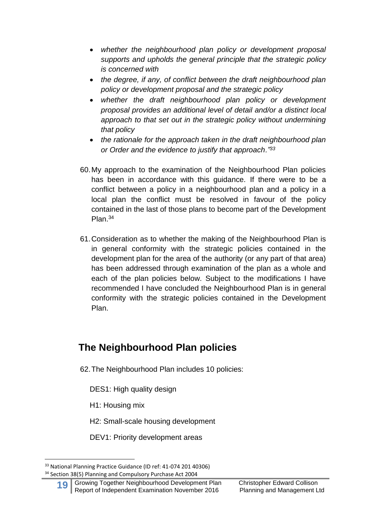- *whether the neighbourhood plan policy or development proposal supports and upholds the general principle that the strategic policy is concerned with*
- *the degree, if any, of conflict between the draft neighbourhood plan policy or development proposal and the strategic policy*
- *whether the draft neighbourhood plan policy or development proposal provides an additional level of detail and/or a distinct local approach to that set out in the strategic policy without undermining that policy*
- *the rationale for the approach taken in the draft neighbourhood plan or Order and the evidence to justify that approach."<sup>33</sup>*
- 60.My approach to the examination of the Neighbourhood Plan policies has been in accordance with this guidance. If there were to be a conflict between a policy in a neighbourhood plan and a policy in a local plan the conflict must be resolved in favour of the policy contained in the last of those plans to become part of the Development Plan.<sup>34</sup>
- 61.Consideration as to whether the making of the Neighbourhood Plan is in general conformity with the strategic policies contained in the development plan for the area of the authority (or any part of that area) has been addressed through examination of the plan as a whole and each of the plan policies below. Subject to the modifications I have recommended I have concluded the Neighbourhood Plan is in general conformity with the strategic policies contained in the Development Plan.

# **The Neighbourhood Plan policies**

62.The Neighbourhood Plan includes 10 policies:

DES1: High quality design

H1: Housing mix

**.** 

H2: Small-scale housing development

DEV1: Priority development areas

<sup>33</sup> National Planning Practice Guidance (ID ref: 41-074 201 40306) <sup>34</sup> Section 38(5) Planning and Compulsory Purchase Act 2004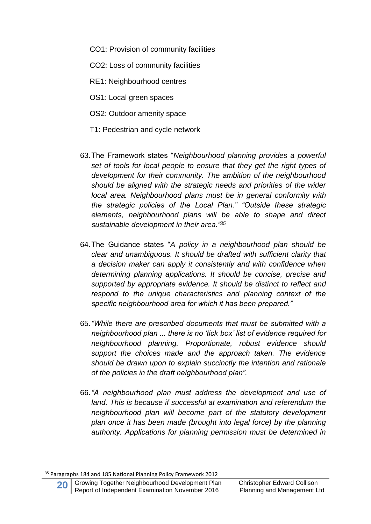CO1: Provision of community facilities

CO2: Loss of community facilities

- RE1: Neighbourhood centres
- OS1: Local green spaces
- OS2: Outdoor amenity space
- T1: Pedestrian and cycle network
- 63.The Framework states "*Neighbourhood planning provides a powerful set of tools for local people to ensure that they get the right types of development for their community. The ambition of the neighbourhood should be aligned with the strategic needs and priorities of the wider local area. Neighbourhood plans must be in general conformity with the strategic policies of the Local Plan." "Outside these strategic elements, neighbourhood plans will be able to shape and direct sustainable development in their area."<sup>35</sup>*
- 64.The Guidance states "*A policy in a neighbourhood plan should be clear and unambiguous. It should be drafted with sufficient clarity that a decision maker can apply it consistently and with confidence when determining planning applications. It should be concise, precise and supported by appropriate evidence. It should be distinct to reflect and respond to the unique characteristics and planning context of the specific neighbourhood area for which it has been prepared."*
- 65.*"While there are prescribed documents that must be submitted with a neighbourhood plan ... there is no 'tick box' list of evidence required for neighbourhood planning. Proportionate, robust evidence should support the choices made and the approach taken. The evidence should be drawn upon to explain succinctly the intention and rationale of the policies in the draft neighbourhood plan".*
- 66.*"A neighbourhood plan must address the development and use of land. This is because if successful at examination and referendum the neighbourhood plan will become part of the statutory development plan once it has been made (brought into legal force) by the planning authority. Applications for planning permission must be determined in*

<sup>&</sup>lt;sup>35</sup> Paragraphs 184 and 185 National Planning Policy Framework 2012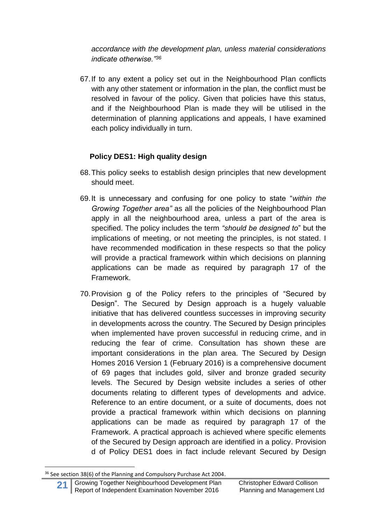*accordance with the development plan, unless material considerations indicate otherwise."<sup>36</sup>*

67.If to any extent a policy set out in the Neighbourhood Plan conflicts with any other statement or information in the plan, the conflict must be resolved in favour of the policy. Given that policies have this status, and if the Neighbourhood Plan is made they will be utilised in the determination of planning applications and appeals, I have examined each policy individually in turn.

### **Policy DES1: High quality design**

- 68.This policy seeks to establish design principles that new development should meet.
- 69.It is unnecessary and confusing for one policy to state "*within the Growing Together area"* as all the policies of the Neighbourhood Plan apply in all the neighbourhood area, unless a part of the area is specified. The policy includes the term *"should be designed to*" but the implications of meeting, or not meeting the principles, is not stated. I have recommended modification in these respects so that the policy will provide a practical framework within which decisions on planning applications can be made as required by paragraph 17 of the Framework.
- 70.Provision g of the Policy refers to the principles of "Secured by Design". The Secured by Design approach is a hugely valuable initiative that has delivered countless successes in improving security in developments across the country. The Secured by Design principles when implemented have proven successful in reducing crime, and in reducing the fear of crime. Consultation has shown these are important considerations in the plan area. The Secured by Design Homes 2016 Version 1 (February 2016) is a comprehensive document of 69 pages that includes gold, silver and bronze graded security levels. The Secured by Design website includes a series of other documents relating to different types of developments and advice. Reference to an entire document, or a suite of documents, does not provide a practical framework within which decisions on planning applications can be made as required by paragraph 17 of the Framework. A practical approach is achieved where specific elements of the Secured by Design approach are identified in a policy. Provision d of Policy DES1 does in fact include relevant Secured by Design

<sup>&</sup>lt;sup>36</sup> See section 38(6) of the Planning and Compulsory Purchase Act 2004.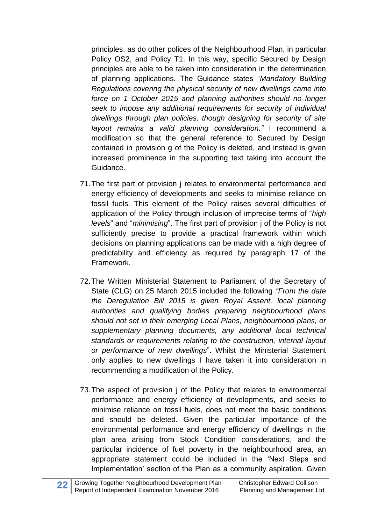principles, as do other polices of the Neighbourhood Plan, in particular Policy OS2, and Policy T1. In this way, specific Secured by Design principles are able to be taken into consideration in the determination of planning applications. The Guidance states "*Mandatory Building Regulations covering the physical security of new dwellings came into force on 1 October 2015 and planning authorities should no longer seek to impose any additional requirements for security of individual dwellings through plan policies, though designing for security of site layout remains a valid planning consideration."* I recommend a modification so that the general reference to Secured by Design contained in provision g of the Policy is deleted, and instead is given increased prominence in the supporting text taking into account the Guidance.

- 71.The first part of provision j relates to environmental performance and energy efficiency of developments and seeks to minimise reliance on fossil fuels. This element of the Policy raises several difficulties of application of the Policy through inclusion of imprecise terms of "*high levels*" and "*minimising*". The first part of provision j of the Policy is not sufficiently precise to provide a practical framework within which decisions on planning applications can be made with a high degree of predictability and efficiency as required by paragraph 17 of the Framework.
- 72.The Written Ministerial Statement to Parliament of the Secretary of State (CLG) on 25 March 2015 included the following *"From the date the Deregulation Bill 2015 is given Royal Assent, local planning authorities and qualifying bodies preparing neighbourhood plans should not set in their emerging Local Plans, neighbourhood plans, or supplementary planning documents, any additional local technical standards or requirements relating to the construction, internal layout or performance of new dwellings*". Whilst the Ministerial Statement only applies to new dwellings I have taken it into consideration in recommending a modification of the Policy.
- 73.The aspect of provision j of the Policy that relates to environmental performance and energy efficiency of developments, and seeks to minimise reliance on fossil fuels, does not meet the basic conditions and should be deleted. Given the particular importance of the environmental performance and energy efficiency of dwellings in the plan area arising from Stock Condition considerations, and the particular incidence of fuel poverty in the neighbourhood area, an appropriate statement could be included in the 'Next Steps and Implementation' section of the Plan as a community aspiration. Given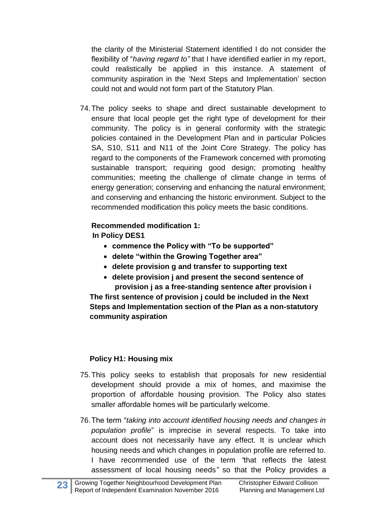the clarity of the Ministerial Statement identified I do not consider the flexibility of "*having regard to"* that I have identified earlier in my report, could realistically be applied in this instance. A statement of community aspiration in the 'Next Steps and Implementation' section could not and would not form part of the Statutory Plan.

74.The policy seeks to shape and direct sustainable development to ensure that local people get the right type of development for their community. The policy is in general conformity with the strategic policies contained in the Development Plan and in particular Policies SA, S10, S11 and N11 of the Joint Core Strategy. The policy has regard to the components of the Framework concerned with promoting sustainable transport; requiring good design; promoting healthy communities; meeting the challenge of climate change in terms of energy generation; conserving and enhancing the natural environment; and conserving and enhancing the historic environment. Subject to the recommended modification this policy meets the basic conditions.

### **Recommended modification 1: In Policy DES1**

- **commence the Policy with "To be supported"**
- **delete "within the Growing Together area"**
- **delete provision g and transfer to supporting text**
- **delete provision j and present the second sentence of provision j as a free-standing sentence after provision i**

**The first sentence of provision j could be included in the Next Steps and Implementation section of the Plan as a non-statutory community aspiration**

### **Policy H1: Housing mix**

- 75.This policy seeks to establish that proposals for new residential development should provide a mix of homes, and maximise the proportion of affordable housing provision. The Policy also states smaller affordable homes will be particularly welcome.
- 76.The term "*taking into account identified housing needs and changes in population profile*" is imprecise in several respects. To take into account does not necessarily have any effect. It is unclear which housing needs and which changes in population profile are referred to. I have recommended use of the term *"*that reflects the latest assessment of local housing needs*"* so that the Policy provides a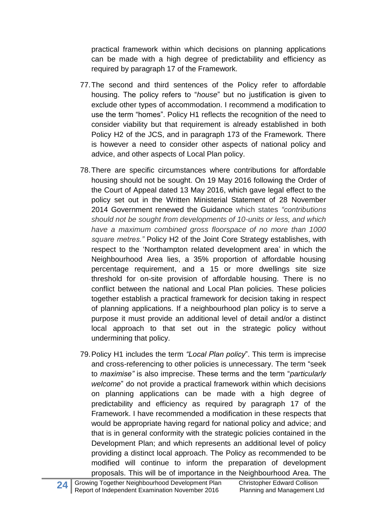practical framework within which decisions on planning applications can be made with a high degree of predictability and efficiency as required by paragraph 17 of the Framework.

- 77.The second and third sentences of the Policy refer to affordable housing. The policy refers to "*house*" but no justification is given to exclude other types of accommodation. I recommend a modification to use the term "homes". Policy H1 reflects the recognition of the need to consider viability but that requirement is already established in both Policy H2 of the JCS, and in paragraph 173 of the Framework. There is however a need to consider other aspects of national policy and advice, and other aspects of Local Plan policy.
- 78.There are specific circumstances where contributions for affordable housing should not be sought. On 19 May 2016 following the Order of the Court of Appeal dated 13 May 2016, which gave legal effect to the policy set out in the Written Ministerial Statement of 28 November 2014 Government renewed the Guidance which states *"contributions should not be sought from developments of 10-units or less, and which have a maximum combined gross floorspace of no more than 1000 square metres."* Policy H2 of the Joint Core Strategy establishes, with respect to the 'Northampton related development area' in which the Neighbourhood Area lies, a 35% proportion of affordable housing percentage requirement, and a 15 or more dwellings site size threshold for on-site provision of affordable housing. There is no conflict between the national and Local Plan policies. These policies together establish a practical framework for decision taking in respect of planning applications. If a neighbourhood plan policy is to serve a purpose it must provide an additional level of detail and/or a distinct local approach to that set out in the strategic policy without undermining that policy.
- 79.Policy H1 includes the term *"Local Plan policy*". This term is imprecise and cross-referencing to other policies is unnecessary. The term "seek to *maximise"* is also imprecise. These terms and the term "*particularly welcome*" do not provide a practical framework within which decisions on planning applications can be made with a high degree of predictability and efficiency as required by paragraph 17 of the Framework. I have recommended a modification in these respects that would be appropriate having regard for national policy and advice; and that is in general conformity with the strategic policies contained in the Development Plan; and which represents an additional level of policy providing a distinct local approach. The Policy as recommended to be modified will continue to inform the preparation of development proposals. This will be of importance in the Neighbourhood Area. The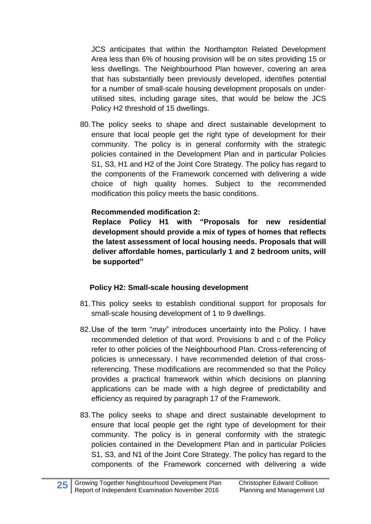JCS anticipates that within the Northampton Related Development Area less than 6% of housing provision will be on sites providing 15 or less dwellings. The Neighbourhood Plan however, covering an area that has substantially been previously developed, identifies potential for a number of small-scale housing development proposals on underutilised sites, including garage sites, that would be below the JCS Policy H2 threshold of 15 dwellings.

80.The policy seeks to shape and direct sustainable development to ensure that local people get the right type of development for their community. The policy is in general conformity with the strategic policies contained in the Development Plan and in particular Policies S1, S3, H1 and H2 of the Joint Core Strategy. The policy has regard to the components of the Framework concerned with delivering a wide choice of high quality homes. Subject to the recommended modification this policy meets the basic conditions.

#### **Recommended modification 2:**

**Replace Policy H1 with "Proposals for new residential development should provide a mix of types of homes that reflects the latest assessment of local housing needs. Proposals that will deliver affordable homes, particularly 1 and 2 bedroom units, will be supported"**

#### **Policy H2: Small-scale housing development**

- 81.This policy seeks to establish conditional support for proposals for small-scale housing development of 1 to 9 dwellings.
- 82.Use of the term "*may*" introduces uncertainty into the Policy. I have recommended deletion of that word. Provisions b and c of the Policy refer to other policies of the Neighbourhood Plan. Cross-referencing of policies is unnecessary. I have recommended deletion of that crossreferencing. These modifications are recommended so that the Policy provides a practical framework within which decisions on planning applications can be made with a high degree of predictability and efficiency as required by paragraph 17 of the Framework.
- 83.The policy seeks to shape and direct sustainable development to ensure that local people get the right type of development for their community. The policy is in general conformity with the strategic policies contained in the Development Plan and in particular Policies S1, S3, and N1 of the Joint Core Strategy. The policy has regard to the components of the Framework concerned with delivering a wide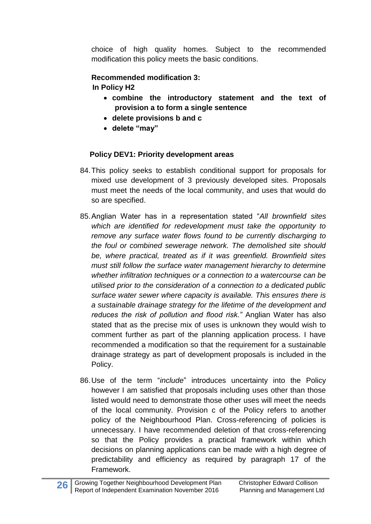choice of high quality homes. Subject to the recommended modification this policy meets the basic conditions.

#### **Recommended modification 3: In Policy H2**

- **combine the introductory statement and the text of provision a to form a single sentence**
- **delete provisions b and c**
- **delete "may"**

### **Policy DEV1: Priority development areas**

- 84.This policy seeks to establish conditional support for proposals for mixed use development of 3 previously developed sites. Proposals must meet the needs of the local community, and uses that would do so are specified.
- 85.Anglian Water has in a representation stated "*All brownfield sites which are identified for redevelopment must take the opportunity to remove any surface water flows found to be currently discharging to the foul or combined sewerage network. The demolished site should be, where practical, treated as if it was greenfield. Brownfield sites must still follow the surface water management hierarchy to determine whether infiltration techniques or a connection to a watercourse can be utilised prior to the consideration of a connection to a dedicated public surface water sewer where capacity is available. This ensures there is a sustainable drainage strategy for the lifetime of the development and reduces the risk of pollution and flood risk."* Anglian Water has also stated that as the precise mix of uses is unknown they would wish to comment further as part of the planning application process. I have recommended a modification so that the requirement for a sustainable drainage strategy as part of development proposals is included in the Policy.
- 86.Use of the term "*include*" introduces uncertainty into the Policy however I am satisfied that proposals including uses other than those listed would need to demonstrate those other uses will meet the needs of the local community. Provision c of the Policy refers to another policy of the Neighbourhood Plan. Cross-referencing of policies is unnecessary. I have recommended deletion of that cross-referencing so that the Policy provides a practical framework within which decisions on planning applications can be made with a high degree of predictability and efficiency as required by paragraph 17 of the Framework.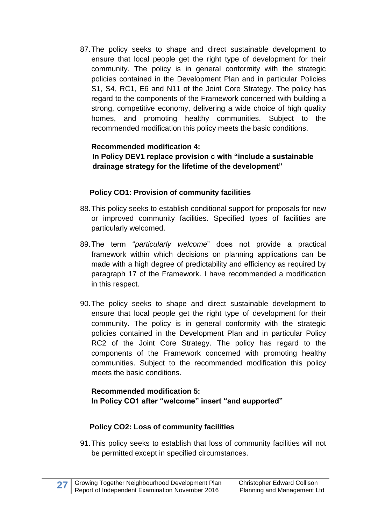87.The policy seeks to shape and direct sustainable development to ensure that local people get the right type of development for their community. The policy is in general conformity with the strategic policies contained in the Development Plan and in particular Policies S1, S4, RC1, E6 and N11 of the Joint Core Strategy. The policy has regard to the components of the Framework concerned with building a strong, competitive economy, delivering a wide choice of high quality homes, and promoting healthy communities. Subject to the recommended modification this policy meets the basic conditions.

#### **Recommended modification 4: In Policy DEV1 replace provision c with "include a sustainable drainage strategy for the lifetime of the development"**

### **Policy CO1: Provision of community facilities**

- 88.This policy seeks to establish conditional support for proposals for new or improved community facilities. Specified types of facilities are particularly welcomed.
- 89.The term "*particularly welcome*" does not provide a practical framework within which decisions on planning applications can be made with a high degree of predictability and efficiency as required by paragraph 17 of the Framework. I have recommended a modification in this respect.
- 90.The policy seeks to shape and direct sustainable development to ensure that local people get the right type of development for their community. The policy is in general conformity with the strategic policies contained in the Development Plan and in particular Policy RC2 of the Joint Core Strategy. The policy has regard to the components of the Framework concerned with promoting healthy communities. Subject to the recommended modification this policy meets the basic conditions.

#### **Recommended modification 5: In Policy CO1 after "welcome" insert "and supported"**

#### **Policy CO2: Loss of community facilities**

91.This policy seeks to establish that loss of community facilities will not be permitted except in specified circumstances.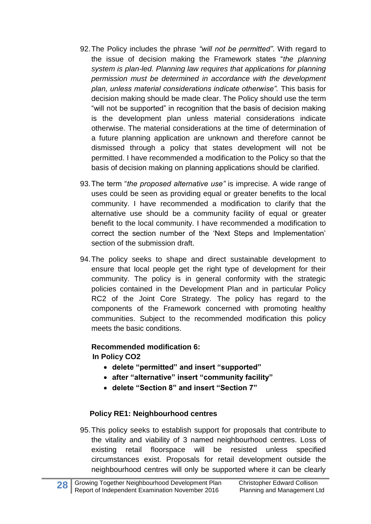- 92.The Policy includes the phrase *"will not be permitted"*. With regard to the issue of decision making the Framework states "*the planning system is plan-led. Planning law requires that applications for planning permission must be determined in accordance with the development plan, unless material considerations indicate otherwise".* This basis for decision making should be made clear. The Policy should use the term "will not be supported" in recognition that the basis of decision making is the development plan unless material considerations indicate otherwise. The material considerations at the time of determination of a future planning application are unknown and therefore cannot be dismissed through a policy that states development will not be permitted. I have recommended a modification to the Policy so that the basis of decision making on planning applications should be clarified.
- 93.The term "*the proposed alternative use"* is imprecise. A wide range of uses could be seen as providing equal or greater benefits to the local community. I have recommended a modification to clarify that the alternative use should be a community facility of equal or greater benefit to the local community. I have recommended a modification to correct the section number of the 'Next Steps and Implementation' section of the submission draft.
- 94.The policy seeks to shape and direct sustainable development to ensure that local people get the right type of development for their community. The policy is in general conformity with the strategic policies contained in the Development Plan and in particular Policy RC2 of the Joint Core Strategy. The policy has regard to the components of the Framework concerned with promoting healthy communities. Subject to the recommended modification this policy meets the basic conditions.

**Recommended modification 6: In Policy CO2**

- **delete "permitted" and insert "supported"**
- **after "alternative" insert "community facility"**
- **delete "Section 8" and insert "Section 7"**

### **Policy RE1: Neighbourhood centres**

95.This policy seeks to establish support for proposals that contribute to the vitality and viability of 3 named neighbourhood centres. Loss of existing retail floorspace will be resisted unless specified circumstances exist. Proposals for retail development outside the neighbourhood centres will only be supported where it can be clearly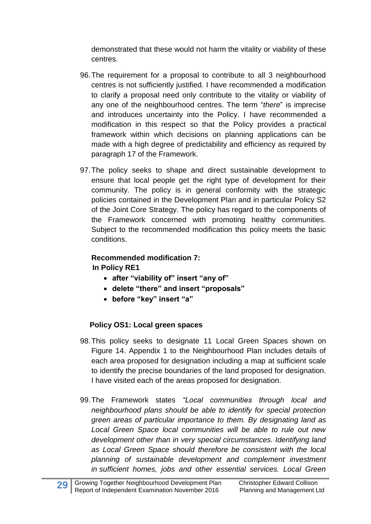demonstrated that these would not harm the vitality or viability of these centres.

- 96.The requirement for a proposal to contribute to all 3 neighbourhood centres is not sufficiently justified. I have recommended a modification to clarify a proposal need only contribute to the vitality or viability of any one of the neighbourhood centres. The term "*there*" is imprecise and introduces uncertainty into the Policy. I have recommended a modification in this respect so that the Policy provides a practical framework within which decisions on planning applications can be made with a high degree of predictability and efficiency as required by paragraph 17 of the Framework.
- 97.The policy seeks to shape and direct sustainable development to ensure that local people get the right type of development for their community. The policy is in general conformity with the strategic policies contained in the Development Plan and in particular Policy S2 of the Joint Core Strategy. The policy has regard to the components of the Framework concerned with promoting healthy communities. Subject to the recommended modification this policy meets the basic conditions.

### **Recommended modification 7: In Policy RE1**

- **after "viability of" insert "any of"**
- **delete "there" and insert "proposals"**
- **before "key" insert "a"**

#### **Policy OS1: Local green spaces**

- 98.This policy seeks to designate 11 Local Green Spaces shown on Figure 14. Appendix 1 to the Neighbourhood Plan includes details of each area proposed for designation including a map at sufficient scale to identify the precise boundaries of the land proposed for designation. I have visited each of the areas proposed for designation.
- 99.The Framework states *"Local communities through local and neighbourhood plans should be able to identify for special protection green areas of particular importance to them. By designating land as Local Green Space local communities will be able to rule out new development other than in very special circumstances. Identifying land as Local Green Space should therefore be consistent with the local planning of sustainable development and complement investment in sufficient homes, jobs and other essential services. Local Green*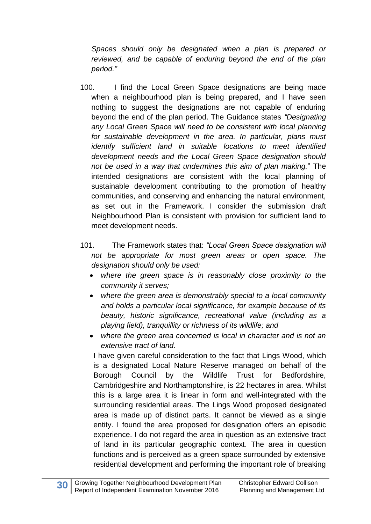*Spaces should only be designated when a plan is prepared or reviewed, and be capable of enduring beyond the end of the plan period."* 

- 100. I find the Local Green Space designations are being made when a neighbourhood plan is being prepared, and I have seen nothing to suggest the designations are not capable of enduring beyond the end of the plan period. The Guidance states *"Designating any Local Green Space will need to be consistent with local planning for sustainable development in the area. In particular, plans must identify sufficient land in suitable locations to meet identified development needs and the Local Green Space designation should not be used in a way that undermines this aim of plan making.*" The intended designations are consistent with the local planning of sustainable development contributing to the promotion of healthy communities, and conserving and enhancing the natural environment, as set out in the Framework. I consider the submission draft Neighbourhood Plan is consistent with provision for sufficient land to meet development needs.
- 101. The Framework states that: *"Local Green Space designation will not be appropriate for most green areas or open space. The designation should only be used:* 
	- *where the green space is in reasonably close proximity to the community it serves;*
	- *where the green area is demonstrably special to a local community and holds a particular local significance, for example because of its beauty, historic significance, recreational value (including as a playing field), tranquillity or richness of its wildlife; and*
	- *where the green area concerned is local in character and is not an extensive tract of land.*

I have given careful consideration to the fact that Lings Wood, which is a designated Local Nature Reserve managed on behalf of the Borough Council by the Wildlife Trust for Bedfordshire, Cambridgeshire and Northamptonshire, is 22 hectares in area. Whilst this is a large area it is linear in form and well-integrated with the surrounding residential areas. The Lings Wood proposed designated area is made up of distinct parts. It cannot be viewed as a single entity. I found the area proposed for designation offers an episodic experience. I do not regard the area in question as an extensive tract of land in its particular geographic context. The area in question functions and is perceived as a green space surrounded by extensive residential development and performing the important role of breaking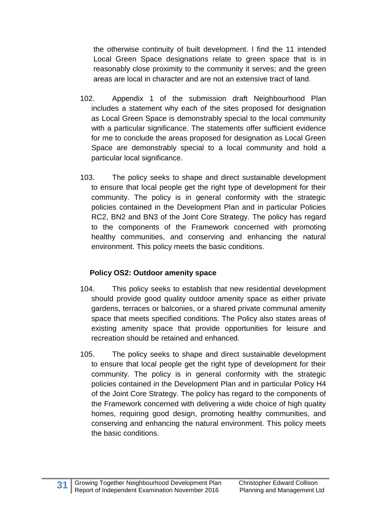the otherwise continuity of built development. I find the 11 intended Local Green Space designations relate to green space that is in reasonably close proximity to the community it serves; and the green areas are local in character and are not an extensive tract of land.

- 102. Appendix 1 of the submission draft Neighbourhood Plan includes a statement why each of the sites proposed for designation as Local Green Space is demonstrably special to the local community with a particular significance. The statements offer sufficient evidence for me to conclude the areas proposed for designation as Local Green Space are demonstrably special to a local community and hold a particular local significance.
- 103. The policy seeks to shape and direct sustainable development to ensure that local people get the right type of development for their community. The policy is in general conformity with the strategic policies contained in the Development Plan and in particular Policies RC2, BN2 and BN3 of the Joint Core Strategy. The policy has regard to the components of the Framework concerned with promoting healthy communities, and conserving and enhancing the natural environment. This policy meets the basic conditions.

### **Policy OS2: Outdoor amenity space**

- 104. This policy seeks to establish that new residential development should provide good quality outdoor amenity space as either private gardens, terraces or balconies, or a shared private communal amenity space that meets specified conditions. The Policy also states areas of existing amenity space that provide opportunities for leisure and recreation should be retained and enhanced.
- 105. The policy seeks to shape and direct sustainable development to ensure that local people get the right type of development for their community. The policy is in general conformity with the strategic policies contained in the Development Plan and in particular Policy H4 of the Joint Core Strategy. The policy has regard to the components of the Framework concerned with delivering a wide choice of high quality homes, requiring good design, promoting healthy communities, and conserving and enhancing the natural environment. This policy meets the basic conditions.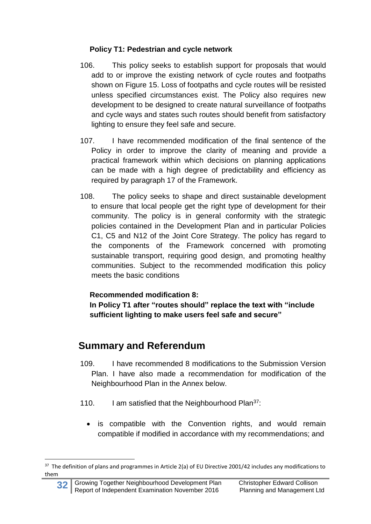### **Policy T1: Pedestrian and cycle network**

- 106. This policy seeks to establish support for proposals that would add to or improve the existing network of cycle routes and footpaths shown on Figure 15. Loss of footpaths and cycle routes will be resisted unless specified circumstances exist. The Policy also requires new development to be designed to create natural surveillance of footpaths and cycle ways and states such routes should benefit from satisfactory lighting to ensure they feel safe and secure.
- 107. I have recommended modification of the final sentence of the Policy in order to improve the clarity of meaning and provide a practical framework within which decisions on planning applications can be made with a high degree of predictability and efficiency as required by paragraph 17 of the Framework.
- 108. The policy seeks to shape and direct sustainable development to ensure that local people get the right type of development for their community. The policy is in general conformity with the strategic policies contained in the Development Plan and in particular Policies C1, C5 and N12 of the Joint Core Strategy. The policy has regard to the components of the Framework concerned with promoting sustainable transport, requiring good design, and promoting healthy communities. Subject to the recommended modification this policy meets the basic conditions

### **Recommended modification 8:**

**In Policy T1 after "routes should" replace the text with "include sufficient lighting to make users feel safe and secure"**

# **Summary and Referendum**

- 109. I have recommended 8 modifications to the Submission Version Plan. I have also made a recommendation for modification of the Neighbourhood Plan in the Annex below.
- 110. I am satisfied that the Neighbourhood Plan $37$ :
	- is compatible with the Convention rights, and would remain compatible if modified in accordance with my recommendations; and

**<sup>.</sup>** <sup>37</sup> The definition of plans and programmes in Article 2(a) of EU Directive 2001/42 includes any modifications to them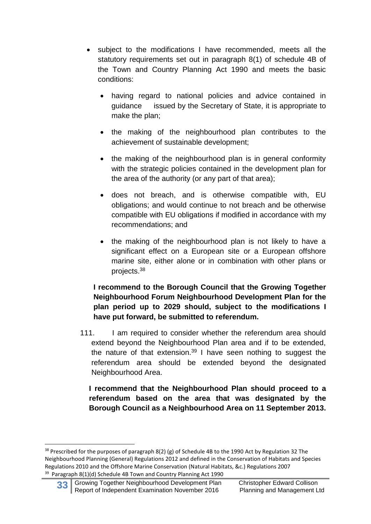- subject to the modifications I have recommended, meets all the statutory requirements set out in paragraph 8(1) of schedule 4B of the Town and Country Planning Act 1990 and meets the basic conditions:
	- having regard to national policies and advice contained in guidance issued by the Secretary of State, it is appropriate to make the plan;
	- the making of the neighbourhood plan contributes to the achievement of sustainable development;
	- the making of the neighbourhood plan is in general conformity with the strategic policies contained in the development plan for the area of the authority (or any part of that area);
	- does not breach, and is otherwise compatible with, EU obligations; and would continue to not breach and be otherwise compatible with EU obligations if modified in accordance with my recommendations; and
	- the making of the neighbourhood plan is not likely to have a significant effect on a European site or a European offshore marine site, either alone or in combination with other plans or projects.<sup>38</sup>

#### **I recommend to the Borough Council that the Growing Together Neighbourhood Forum Neighbourhood Development Plan for the plan period up to 2029 should, subject to the modifications I have put forward, be submitted to referendum.**

111. I am required to consider whether the referendum area should extend beyond the Neighbourhood Plan area and if to be extended, the nature of that extension.<sup>39</sup> I have seen nothing to suggest the referendum area should be extended beyond the designated Neighbourhood Area.

**I recommend that the Neighbourhood Plan should proceed to a referendum based on the area that was designated by the Borough Council as a Neighbourhood Area on 11 September 2013.**

 $38$  Prescribed for the purposes of paragraph 8(2) (g) of Schedule 4B to the 1990 Act by Regulation 32 The Neighbourhood Planning (General) Regulations 2012 and defined in the Conservation of Habitats and Species Regulations 2010 and the Offshore Marine Conservation (Natural Habitats, &c.) Regulations 2007 <sup>39</sup> Paragraph 8(1)(d) Schedule 4B Town and Country Planning Act 1990